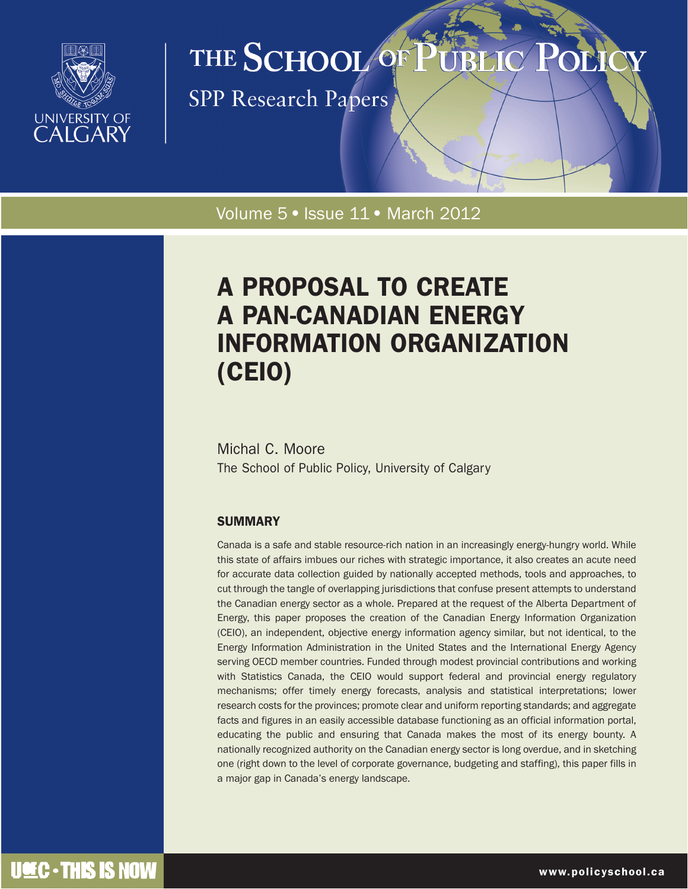

# THE SCHOOL OF

**SPP Research Papers** 

Volume 5 · Issue 11 · March 2012

# A PROPOSAL TO CREATE A PAN-CANADIAN ENERGY INFORMATION ORGANIZATION (CEIO)

Michal C. Moore The School of Public Policy, University of Calgary

# SUMMARY

Canada is a safe and stable resource-rich nation in an increasingly energy-hungry world. While this state of affairs imbues our riches with strategic importance, it also creates an acute need for accurate data collection guided by nationally accepted methods, tools and approaches, to cut through the tangle of overlapping jurisdictions that confuse present attempts to understand the Canadian energy sector as a whole. Prepared at the request of the Alberta Department of Energy, this paper proposes the creation of the Canadian Energy Information Organization (CEIO), an independent, objective energy information agency similar, but not identical, to the Energy Information Administration in the United States and the International Energy Agency serving OECD member countries. Funded through modest provincial contributions and working with Statistics Canada, the CEIO would support federal and provincial energy regulatory mechanisms; offer timely energy forecasts, analysis and statistical interpretations; lower research costs for the provinces; promote clear and uniform reporting standards; and aggregate facts and figures in an easily accessible database functioning as an official information portal, educating the public and ensuring that Canada makes the most of its energy bounty. A nationally recognized authority on the Canadian energy sector is long overdue, and in sketching one (right down to the level of corporate governance, budgeting and staffing), this paper fills in a major gap in Canada's energy landscape.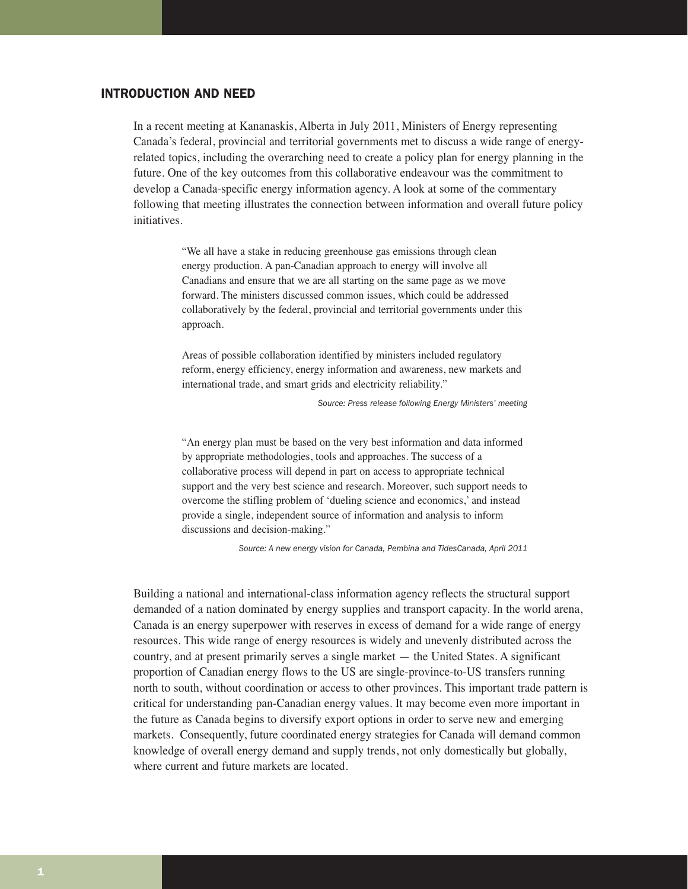# INTRODUCTION AND NEED

In a recent meeting at Kananaskis, Alberta in July 2011, Ministers of Energy representing Canada's federal, provincial and territorial governments met to discuss a wide range of energyrelated topics, including the overarching need to create a policy plan for energy planning in the future. One of the key outcomes from this collaborative endeavour was the commitment to develop a Canada-specific energy information agency. A look at some of the commentary following that meeting illustrates the connection between information and overall future policy initiatives.

> "We all have a stake in reducing greenhouse gas emissions through clean energy production. A pan-Canadian approach to energy will involve all Canadians and ensure that we are all starting on the same page as we move forward. The ministers discussed common issues, which could be addressed collaboratively by the federal, provincial and territorial governments under this approach.

> Areas of possible collaboration identified by ministers included regulatory reform, energy efficiency, energy information and awareness, new markets and international trade, and smart grids and electricity reliability."

> > *Source: Press release following Energy Ministers' meeting*

"An energy plan must be based on the very best information and data informed by appropriate methodologies, tools and approaches. The success of a collaborative process will depend in part on access to appropriate technical support and the very best science and research. Moreover, such support needs to overcome the stifling problem of 'dueling science and economics,' and instead provide a single, independent source of information and analysis to inform discussions and decision-making."

*Source: A new energy vision for Canada, Pembina and TidesCanada, April 2011*

Building a national and international-class information agency reflects the structural support demanded of a nation dominated by energy supplies and transport capacity. In the world arena, Canada is an energy superpower with reserves in excess of demand for a wide range of energy resources. This wide range of energy resources is widely and unevenly distributed across the country, and at present primarily serves a single market — the United States. A significant proportion of Canadian energy flows to the US are single-province-to-US transfers running north to south, without coordination or access to other provinces. This important trade pattern is critical for understanding pan-Canadian energy values. It may become even more important in the future as Canada begins to diversify export options in order to serve new and emerging markets. Consequently, future coordinated energy strategies for Canada will demand common knowledge of overall energy demand and supply trends, not only domestically but globally, where current and future markets are located.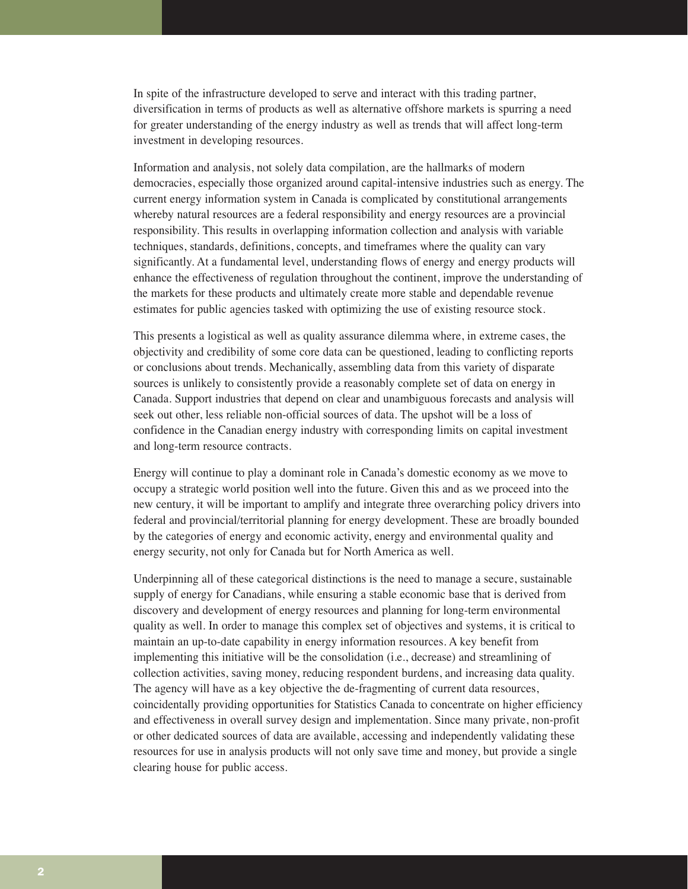In spite of the infrastructure developed to serve and interact with this trading partner, diversification in terms of products as well as alternative offshore markets is spurring a need for greater understanding of the energy industry as well as trends that will affect long-term investment in developing resources.

Information and analysis, not solely data compilation, are the hallmarks of modern democracies, especially those organized around capital-intensive industries such as energy. The current energy information system in Canada is complicated by constitutional arrangements whereby natural resources are a federal responsibility and energy resources are a provincial responsibility. This results in overlapping information collection and analysis with variable techniques, standards, definitions, concepts, and timeframes where the quality can vary significantly. At a fundamental level, understanding flows of energy and energy products will enhance the effectiveness of regulation throughout the continent, improve the understanding of the markets for these products and ultimately create more stable and dependable revenue estimates for public agencies tasked with optimizing the use of existing resource stock.

This presents a logistical as well as quality assurance dilemma where, in extreme cases, the objectivity and credibility of some core data can be questioned, leading to conflicting reports or conclusions about trends. Mechanically, assembling data from this variety of disparate sources is unlikely to consistently provide a reasonably complete set of data on energy in Canada. Support industries that depend on clear and unambiguous forecasts and analysis will seek out other, less reliable non-official sources of data. The upshot will be a loss of confidence in the Canadian energy industry with corresponding limits on capital investment and long-term resource contracts.

Energy will continue to play a dominant role in Canada's domestic economy as we move to occupy a strategic world position well into the future. Given this and as we proceed into the new century, it will be important to amplify and integrate three overarching policy drivers into federal and provincial/territorial planning for energy development. These are broadly bounded by the categories of energy and economic activity, energy and environmental quality and energy security, not only for Canada but for North America as well.

Underpinning all of these categorical distinctions is the need to manage a secure, sustainable supply of energy for Canadians, while ensuring a stable economic base that is derived from discovery and development of energy resources and planning for long-term environmental quality as well. In order to manage this complex set of objectives and systems, it is critical to maintain an up-to-date capability in energy information resources. A key benefit from implementing this initiative will be the consolidation (i.e., decrease) and streamlining of collection activities, saving money, reducing respondent burdens, and increasing data quality. The agency will have as a key objective the de-fragmenting of current data resources, coincidentally providing opportunities for Statistics Canada to concentrate on higher efficiency and effectiveness in overall survey design and implementation. Since many private, non-profit or other dedicated sources of data are available, accessing and independently validating these resources for use in analysis products will not only save time and money, but provide a single clearing house for public access.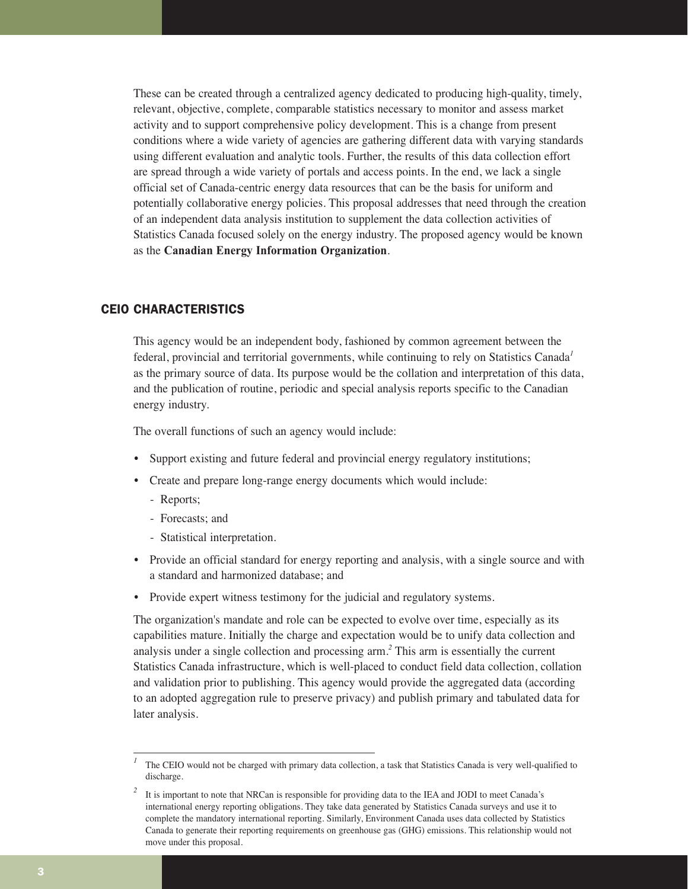These can be created through a centralized agency dedicated to producing high-quality, timely, relevant, objective, complete, comparable statistics necessary to monitor and assess market activity and to support comprehensive policy development. This is a change from present conditions where a wide variety of agencies are gathering different data with varying standards using different evaluation and analytic tools. Further, the results of this data collection effort are spread through a wide variety of portals and access points. In the end, we lack a single official set of Canada-centric energy data resources that can be the basis for uniform and potentially collaborative energy policies. This proposal addresses that need through the creation of an independent data analysis institution to supplement the data collection activities of Statistics Canada focused solely on the energy industry. The proposed agency would be known as the **Canadian Energy Information Organization**.

# CEIO CHARACTERISTICS

This agency would be an independent body, fashioned by common agreement between the federal, provincial and territorial governments, while continuing to rely on Statistics Canada*<sup>1</sup>* as the primary source of data. Its purpose would be the collation and interpretation of this data, and the publication of routine, periodic and special analysis reports specific to the Canadian energy industry.

The overall functions of such an agency would include:

- Support existing and future federal and provincial energy regulatory institutions;
- Create and prepare long-range energy documents which would include:
	- Reports;
	- Forecasts; and
	- Statistical interpretation.
- Provide an official standard for energy reporting and analysis, with a single source and with a standard and harmonized database; and
- Provide expert witness testimony for the judicial and regulatory systems.

The organization's mandate and role can be expected to evolve over time, especially as its capabilities mature. Initially the charge and expectation would be to unify data collection and analysis under a single collection and processing arm.*<sup>2</sup>* This arm is essentially the current Statistics Canada infrastructure, which is well-placed to conduct field data collection, collation and validation prior to publishing. This agency would provide the aggregated data (according to an adopted aggregation rule to preserve privacy) and publish primary and tabulated data for later analysis.

*<sup>1</sup>* The CEIO would not be charged with primary data collection, a task that Statistics Canada is very well-qualified to discharge.

<sup>&</sup>lt;sup>2</sup> It is important to note that NRCan is responsible for providing data to the IEA and JODI to meet Canada's international energy reporting obligations. They take data generated by Statistics Canada surveys and use it to complete the mandatory international reporting. Similarly, Environment Canada uses data collected by Statistics Canada to generate their reporting requirements on greenhouse gas (GHG) emissions. This relationship would not move under this proposal.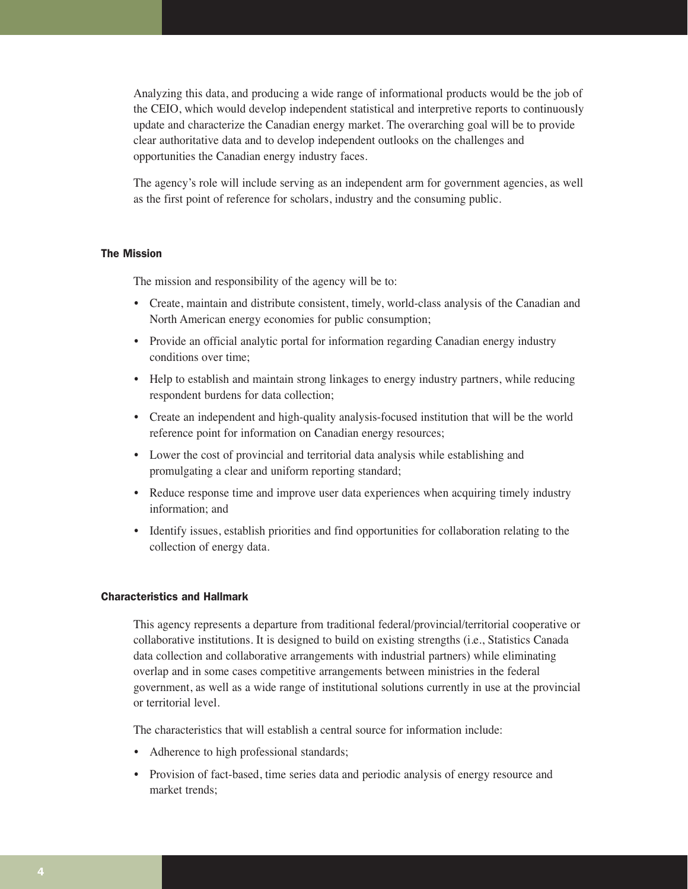Analyzing this data, and producing a wide range of informational products would be the job of the CEIO, which would develop independent statistical and interpretive reports to continuously update and characterize the Canadian energy market. The overarching goal will be to provide clear authoritative data and to develop independent outlooks on the challenges and opportunities the Canadian energy industry faces.

The agency's role will include serving as an independent arm for government agencies, as well as the first point of reference for scholars, industry and the consuming public.

# The Mission

The mission and responsibility of the agency will be to:

- Create, maintain and distribute consistent, timely, world-class analysis of the Canadian and North American energy economies for public consumption;
- Provide an official analytic portal for information regarding Canadian energy industry conditions over time;
- Help to establish and maintain strong linkages to energy industry partners, while reducing respondent burdens for data collection;
- Create an independent and high-quality analysis-focused institution that will be the world reference point for information on Canadian energy resources;
- Lower the cost of provincial and territorial data analysis while establishing and promulgating a clear and uniform reporting standard;
- Reduce response time and improve user data experiences when acquiring timely industry information; and
- Identify issues, establish priorities and find opportunities for collaboration relating to the collection of energy data.

#### Characteristics and Hallmark

This agency represents a departure from traditional federal/provincial/territorial cooperative or collaborative institutions. It is designed to build on existing strengths (i.e., Statistics Canada data collection and collaborative arrangements with industrial partners) while eliminating overlap and in some cases competitive arrangements between ministries in the federal government, as well as a wide range of institutional solutions currently in use at the provincial or territorial level.

The characteristics that will establish a central source for information include:

- Adherence to high professional standards;
- Provision of fact-based, time series data and periodic analysis of energy resource and market trends;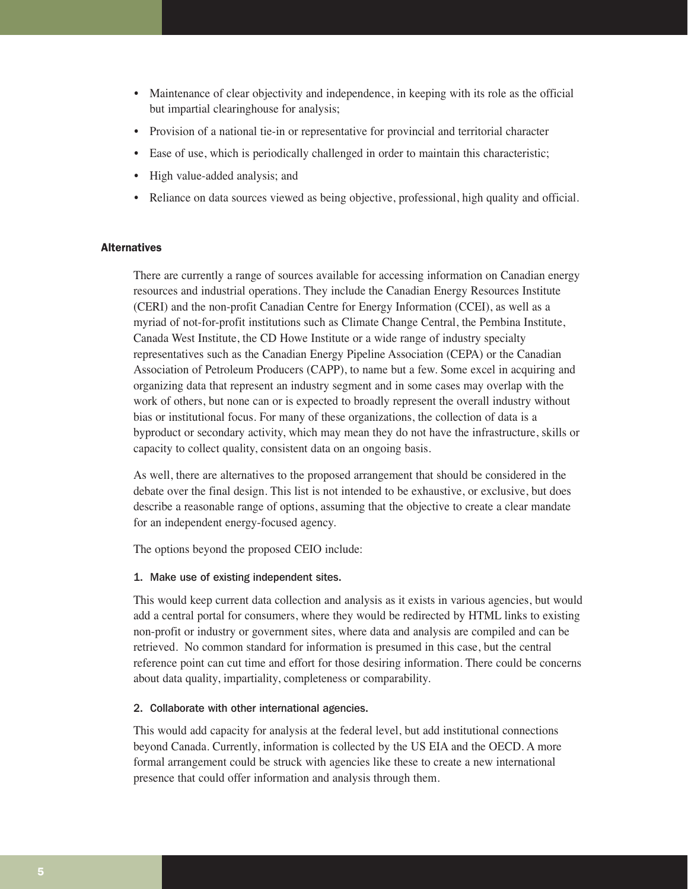- Maintenance of clear objectivity and independence, in keeping with its role as the official but impartial clearinghouse for analysis;
- Provision of a national tie-in or representative for provincial and territorial character
- Ease of use, which is periodically challenged in order to maintain this characteristic;
- High value-added analysis; and
- Reliance on data sources viewed as being objective, professional, high quality and official.

# Alternatives

There are currently a range of sources available for accessing information on Canadian energy resources and industrial operations. They include the Canadian Energy Resources Institute (CERI) and the non-profit Canadian Centre for Energy Information (CCEI), as well as a myriad of not-for-profit institutions such as Climate Change Central, the Pembina Institute, Canada West Institute, the CD Howe Institute or a wide range of industry specialty representatives such as the Canadian Energy Pipeline Association (CEPA) or the Canadian Association of Petroleum Producers (CAPP), to name but a few. Some excel in acquiring and organizing data that represent an industry segment and in some cases may overlap with the work of others, but none can or is expected to broadly represent the overall industry without bias or institutional focus. For many of these organizations, the collection of data is a byproduct or secondary activity, which may mean they do not have the infrastructure, skills or capacity to collect quality, consistent data on an ongoing basis.

As well, there are alternatives to the proposed arrangement that should be considered in the debate over the final design. This list is not intended to be exhaustive, or exclusive, but does describe a reasonable range of options, assuming that the objective to create a clear mandate for an independent energy-focused agency.

The options beyond the proposed CEIO include:

### 1. Make use of existing independent sites.

This would keep current data collection and analysis as it exists in various agencies, but would add a central portal for consumers, where they would be redirected by HTML links to existing non-profit or industry or government sites, where data and analysis are compiled and can be retrieved. No common standard for information is presumed in this case, but the central reference point can cut time and effort for those desiring information. There could be concerns about data quality, impartiality, completeness or comparability.

#### 2. Collaborate with other international agencies.

This would add capacity for analysis at the federal level, but add institutional connections beyond Canada. Currently, information is collected by the US EIA and the OECD. A more formal arrangement could be struck with agencies like these to create a new international presence that could offer information and analysis through them.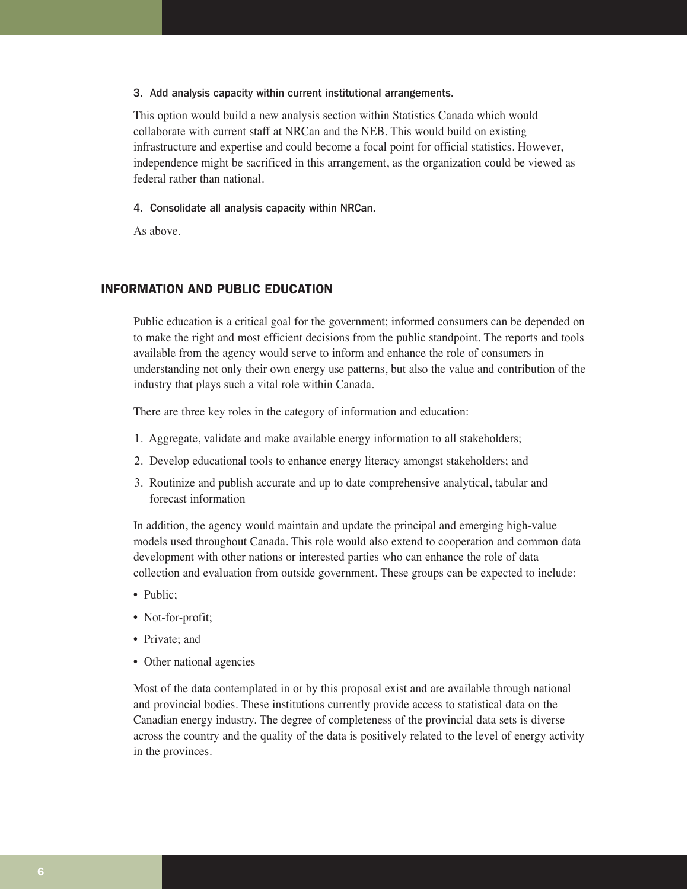### 3. Add analysis capacity within current institutional arrangements.

This option would build a new analysis section within Statistics Canada which would collaborate with current staff at NRCan and the NEB. This would build on existing infrastructure and expertise and could become a focal point for official statistics. However, independence might be sacrificed in this arrangement, as the organization could be viewed as federal rather than national.

4. Consolidate all analysis capacity within NRCan.

As above.

# INFORMATION AND PUBLIC EDUCATION

Public education is a critical goal for the government; informed consumers can be depended on to make the right and most efficient decisions from the public standpoint. The reports and tools available from the agency would serve to inform and enhance the role of consumers in understanding not only their own energy use patterns, but also the value and contribution of the industry that plays such a vital role within Canada.

There are three key roles in the category of information and education:

- 1. Aggregate, validate and make available energy information to all stakeholders;
- 2. Develop educational tools to enhance energy literacy amongst stakeholders; and
- 3. Routinize and publish accurate and up to date comprehensive analytical, tabular and forecast information

In addition, the agency would maintain and update the principal and emerging high-value models used throughout Canada. This role would also extend to cooperation and common data development with other nations or interested parties who can enhance the role of data collection and evaluation from outside government. These groups can be expected to include:

- Public;
- Not-for-profit;
- Private; and
- Other national agencies

Most of the data contemplated in or by this proposal exist and are available through national and provincial bodies. These institutions currently provide access to statistical data on the Canadian energy industry. The degree of completeness of the provincial data sets is diverse across the country and the quality of the data is positively related to the level of energy activity in the provinces.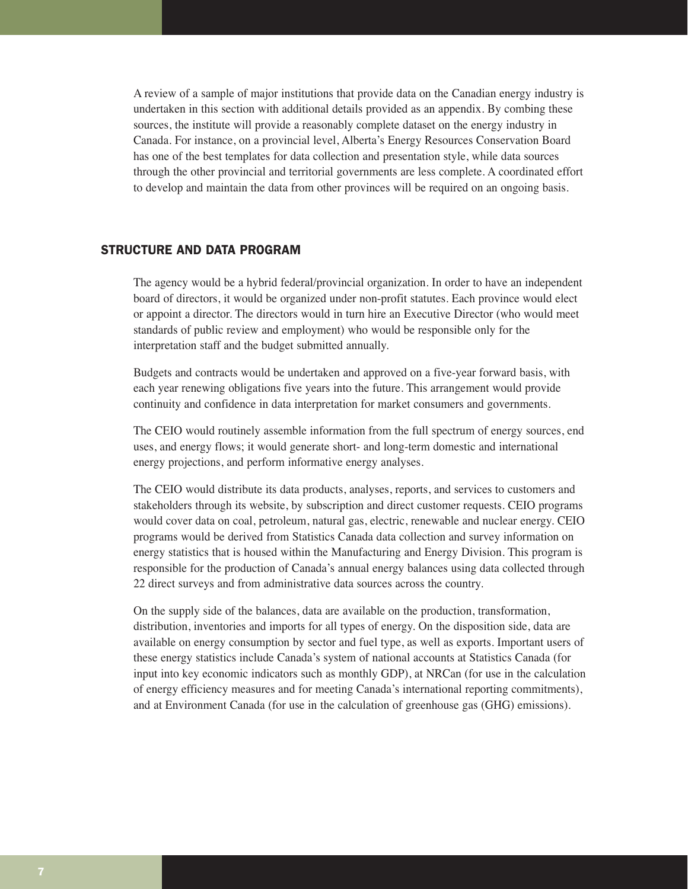A review of a sample of major institutions that provide data on the Canadian energy industry is undertaken in this section with additional details provided as an appendix. By combing these sources, the institute will provide a reasonably complete dataset on the energy industry in Canada. For instance, on a provincial level, Alberta's Energy Resources Conservation Board has one of the best templates for data collection and presentation style, while data sources through the other provincial and territorial governments are less complete. A coordinated effort to develop and maintain the data from other provinces will be required on an ongoing basis.

# STRUCTURE AND DATA PROGRAM

The agency would be a hybrid federal/provincial organization. In order to have an independent board of directors, it would be organized under non-profit statutes. Each province would elect or appoint a director. The directors would in turn hire an Executive Director (who would meet standards of public review and employment) who would be responsible only for the interpretation staff and the budget submitted annually.

Budgets and contracts would be undertaken and approved on a five-year forward basis, with each year renewing obligations five years into the future. This arrangement would provide continuity and confidence in data interpretation for market consumers and governments.

The CEIO would routinely assemble information from the full spectrum of energy sources, end uses, and energy flows; it would generate short- and long-term domestic and international energy projections, and perform informative energy analyses.

The CEIO would distribute its data products, analyses, reports, and services to customers and stakeholders through its website, by subscription and direct customer requests. CEIO programs would cover data on coal, petroleum, natural gas, electric, renewable and nuclear energy. CEIO programs would be derived from Statistics Canada data collection and survey information on energy statistics that is housed within the Manufacturing and Energy Division. This program is responsible for the production of Canada's annual energy balances using data collected through 22 direct surveys and from administrative data sources across the country.

On the supply side of the balances, data are available on the production, transformation, distribution, inventories and imports for all types of energy. On the disposition side, data are available on energy consumption by sector and fuel type, as well as exports. Important users of these energy statistics include Canada's system of national accounts at Statistics Canada (for input into key economic indicators such as monthly GDP), at NRCan (for use in the calculation of energy efficiency measures and for meeting Canada's international reporting commitments), and at Environment Canada (for use in the calculation of greenhouse gas (GHG) emissions).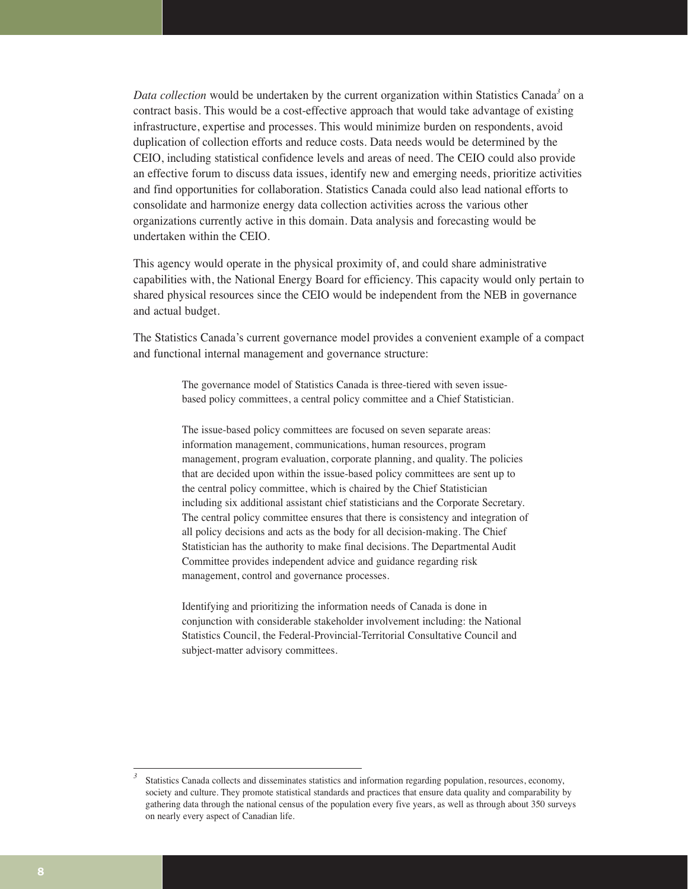*Data collection* would be undertaken by the current organization within Statistics Canada*<sup>3</sup>* on a contract basis. This would be a cost-effective approach that would take advantage of existing infrastructure, expertise and processes. This would minimize burden on respondents, avoid duplication of collection efforts and reduce costs. Data needs would be determined by the CEIO, including statistical confidence levels and areas of need. The CEIO could also provide an effective forum to discuss data issues, identify new and emerging needs, prioritize activities and find opportunities for collaboration. Statistics Canada could also lead national efforts to consolidate and harmonize energy data collection activities across the various other organizations currently active in this domain. Data analysis and forecasting would be undertaken within the CEIO.

This agency would operate in the physical proximity of, and could share administrative capabilities with, the National Energy Board for efficiency. This capacity would only pertain to shared physical resources since the CEIO would be independent from the NEB in governance and actual budget.

The Statistics Canada's current governance model provides a convenient example of a compact and functional internal management and governance structure:

> The governance model of Statistics Canada is three-tiered with seven issuebased policy committees, a central policy committee and a Chief Statistician.

The issue-based policy committees are focused on seven separate areas: information management, communications, human resources, program management, program evaluation, corporate planning, and quality. The policies that are decided upon within the issue-based policy committees are sent up to the central policy committee, which is chaired by the Chief Statistician including six additional assistant chief statisticians and the Corporate Secretary. The central policy committee ensures that there is consistency and integration of all policy decisions and acts as the body for all decision-making. The Chief Statistician has the authority to make final decisions. The Departmental Audit Committee provides independent advice and guidance regarding risk management, control and governance processes.

Identifying and prioritizing the information needs of Canada is done in conjunction with considerable stakeholder involvement including: the National Statistics Council, the Federal-Provincial-Territorial Consultative Council and subject-matter advisory committees.

*<sup>3</sup>* Statistics Canada collects and disseminates statistics and information regarding population, resources, economy, society and culture. They promote statistical standards and practices that ensure data quality and comparability by gathering data through the national census of the population every five years, as well as through about 350 surveys on nearly every aspect of Canadian life.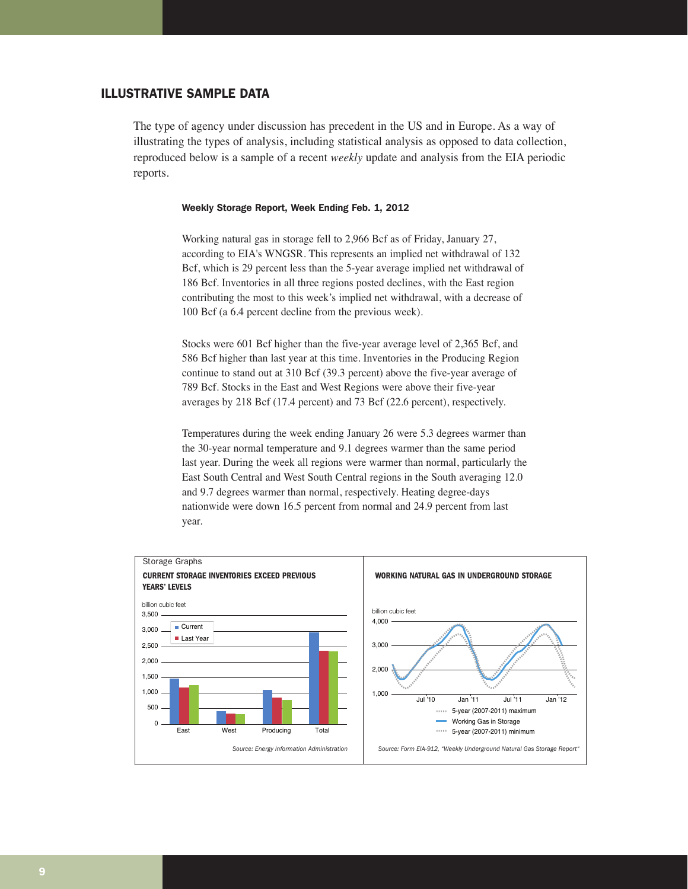# ILLUSTRATIVE SAMPLE DATA

The type of agency under discussion has precedent in the US and in Europe. As a way of illustrating the types of analysis, including statistical analysis as opposed to data collection, reproduced below is a sample of a recent *weekly* update and analysis from the EIA periodic reports.

#### Weekly Storage Report, Week Ending Feb. 1, 2012

Working natural gas in storage fell to 2,966 Bcf as of Friday, January 27, according to EIA's WNGSR. This represents an implied net withdrawal of 132 Bcf, which is 29 percent less than the 5-year average implied net withdrawal of 186 Bcf. Inventories in all three regions posted declines, with the East region contributing the most to this week's implied net withdrawal, with a decrease of 100 Bcf (a 6.4 percent decline from the previous week).

Stocks were 601 Bcf higher than the five-year average level of 2,365 Bcf, and 586 Bcf higher than last year at this time. Inventories in the Producing Region continue to stand out at 310 Bcf (39.3 percent) above the five-year average of 789 Bcf. Stocks in the East and West Regions were above their five-year averages by 218 Bcf (17.4 percent) and 73 Bcf (22.6 percent), respectively.

Temperatures during the week ending January 26 were 5.3 degrees warmer than the 30-year normal temperature and 9.1 degrees warmer than the same period last year. During the week all regions were warmer than normal, particularly the East South Central and West South Central regions in the South averaging 12.0 and 9.7 degrees warmer than normal, respectively. Heating degree-days nationwide were down 16.5 percent from normal and 24.9 percent from last year.

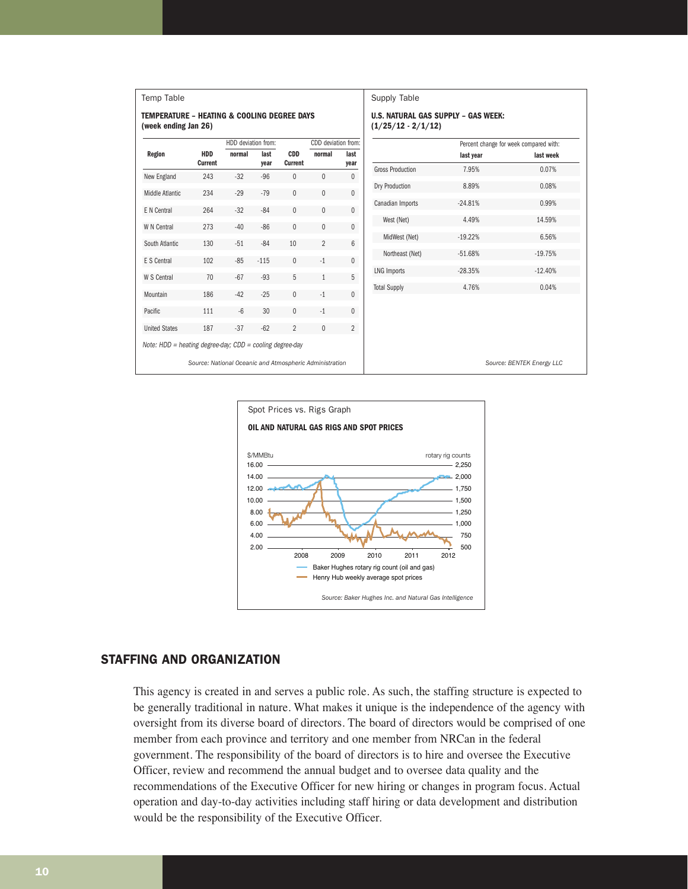| (week ending Jan 26)<br>HDD deviation from:<br>CDD deviation from: |                       |        |              |                |                | $(1/25/12 - 2/1)$ |                         |
|--------------------------------------------------------------------|-----------------------|--------|--------------|----------------|----------------|-------------------|-------------------------|
| Region                                                             | <b>HDD</b><br>Current | normal | last<br>year | CDD<br>Current | normal         | last<br>year      |                         |
| New England                                                        | 243                   | $-32$  | $-96$        | $\Omega$       | $\theta$       | $\Omega$          | <b>Gross Production</b> |
| Middle Atlantic                                                    | 234                   | $-29$  | $-79$        | $\Omega$       | $\mathbf 0$    | 0                 | Dry Production          |
| E N Central                                                        | 264                   | $-32$  | $-84$        | $\Omega$       | $\theta$       | 0                 | Canadian Imports        |
| W N Central                                                        | 273                   | $-40$  | $-86$        | $\Omega$       | $\Omega$       | 0                 | West (Net)              |
| South Atlantic                                                     | 130                   | $-51$  | $-84$        | 10             | $\overline{2}$ | 6                 | MidWest (Net)           |
| E S Central                                                        | 102                   | $-85$  | $-115$       | $\Omega$       | $-1$           | 0                 | Northeast (Net)         |
| W S Central                                                        | 70                    | $-67$  | $-93$        | 5              | $\mathbf{1}$   | 5                 | <b>LNG Imports</b>      |
| Mountain                                                           | 186                   | $-42$  | $-25$        | $\Omega$       | $-1$           | 0                 | <b>Total Supply</b>     |
|                                                                    |                       |        |              |                |                |                   |                         |
| <b>Pacific</b>                                                     | 111                   | $-6$   | 30           | $\Omega$       | $-1$           | $\Omega$          |                         |
| <b>United States</b>                                               | 187                   | $-37$  | $-62$        | $\overline{2}$ | $\mathbf 0$    | $\overline{2}$    |                         |

**U.S. NATURAL GAS SUPPLY – GAS WEEK: (1/25/12 - 2/1/12)** Gross Production 7.95% 0.07% Dry Production 8.89% 0.08% Canadian Imports -24.81% 0.99% West (Net) 4.49% 14.59% MidWest (Net) -19.22% 6.56%  $-51.68\%$  -19.75% LNG Imports -28.35% -12.40% Total Supply 4.76% 0.04% Percent change for week compared with: **last year last week**

*Source: National Oceanic and Atmospheric Administration Source: BENTEK Energy LLC*



# STAFFING AND ORGANIZATION

This agency is created in and serves a public role. As such, the staffing structure is expected to be generally traditional in nature. What makes it unique is the independence of the agency with oversight from its diverse board of directors. The board of directors would be comprised of one member from each province and territory and one member from NRCan in the federal government. The responsibility of the board of directors is to hire and oversee the Executive Officer, review and recommend the annual budget and to oversee data quality and the recommendations of the Executive Officer for new hiring or changes in program focus. Actual operation and day-to-day activities including staff hiring or data development and distribution would be the responsibility of the Executive Officer.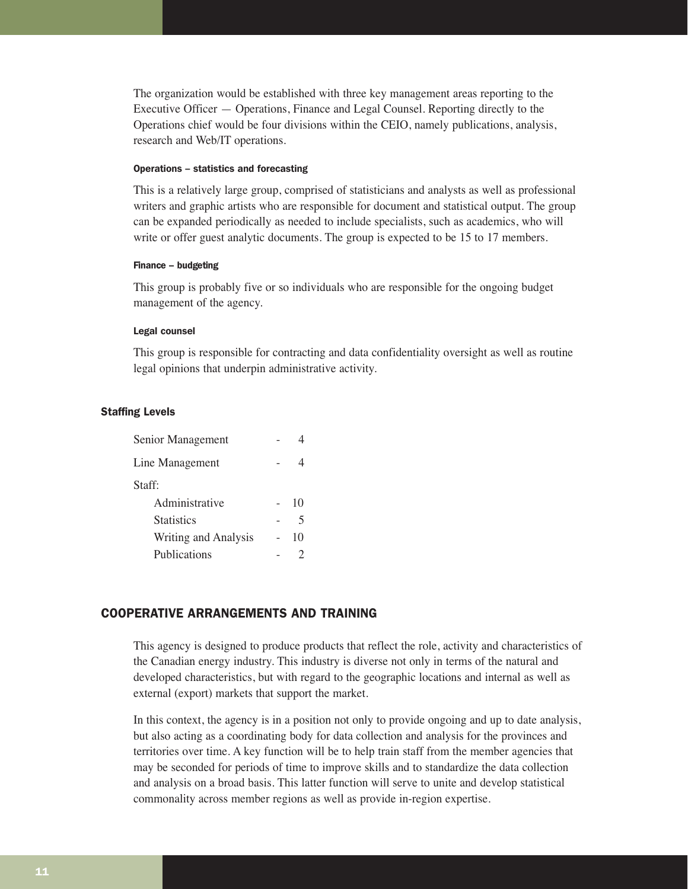The organization would be established with three key management areas reporting to the Executive Officer — Operations, Finance and Legal Counsel. Reporting directly to the Operations chief would be four divisions within the CEIO, namely publications, analysis, research and Web/IT operations.

#### Operations – statistics and forecasting

This is a relatively large group, comprised of statisticians and analysts as well as professional writers and graphic artists who are responsible for document and statistical output. The group can be expanded periodically as needed to include specialists, such as academics, who will write or offer guest analytic documents. The group is expected to be 15 to 17 members.

#### Finance – budgeting

This group is probably five or so individuals who are responsible for the ongoing budget management of the agency.

#### Legal counsel

This group is responsible for contracting and data confidentiality oversight as well as routine legal opinions that underpin administrative activity.

#### Staffing Levels

| Senior Management    |    |
|----------------------|----|
| Line Management      |    |
| Staff:               |    |
| Administrative       | 10 |
| <b>Statistics</b>    | 5  |
| Writing and Analysis | 10 |
| Publications         |    |

# COOPERATIVE ARRANGEMENTS AND TRAINING

This agency is designed to produce products that reflect the role, activity and characteristics of the Canadian energy industry. This industry is diverse not only in terms of the natural and developed characteristics, but with regard to the geographic locations and internal as well as external (export) markets that support the market.

In this context, the agency is in a position not only to provide ongoing and up to date analysis, but also acting as a coordinating body for data collection and analysis for the provinces and territories over time. A key function will be to help train staff from the member agencies that may be seconded for periods of time to improve skills and to standardize the data collection and analysis on a broad basis. This latter function will serve to unite and develop statistical commonality across member regions as well as provide in-region expertise.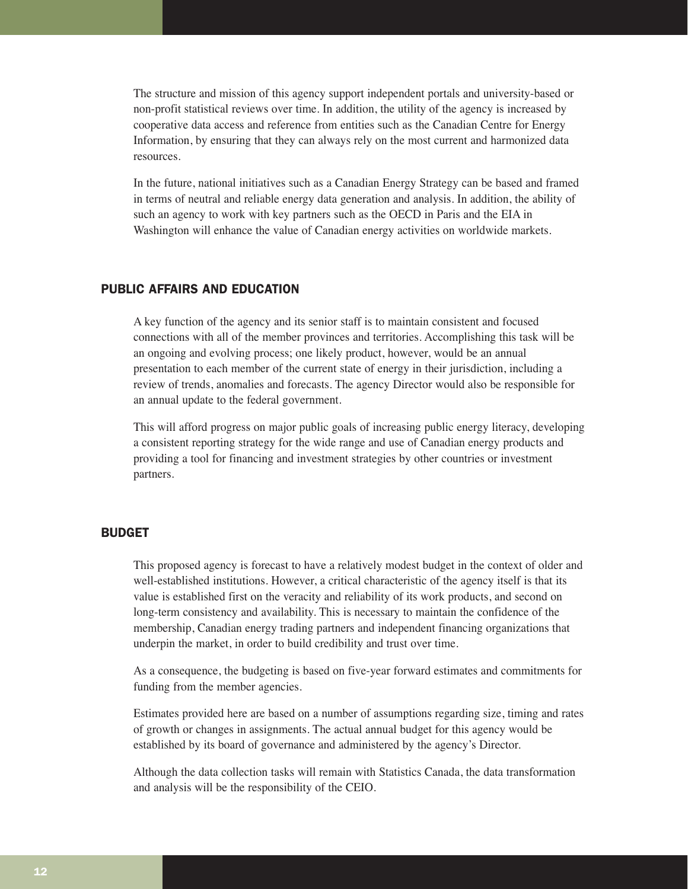The structure and mission of this agency support independent portals and university-based or non-profit statistical reviews over time. In addition, the utility of the agency is increased by cooperative data access and reference from entities such as the Canadian Centre for Energy Information, by ensuring that they can always rely on the most current and harmonized data resources.

In the future, national initiatives such as a Canadian Energy Strategy can be based and framed in terms of neutral and reliable energy data generation and analysis. In addition, the ability of such an agency to work with key partners such as the OECD in Paris and the EIA in Washington will enhance the value of Canadian energy activities on worldwide markets.

# PUBLIC AFFAIRS AND EDUCATION

A key function of the agency and its senior staff is to maintain consistent and focused connections with all of the member provinces and territories. Accomplishing this task will be an ongoing and evolving process; one likely product, however, would be an annual presentation to each member of the current state of energy in their jurisdiction, including a review of trends, anomalies and forecasts. The agency Director would also be responsible for an annual update to the federal government.

This will afford progress on major public goals of increasing public energy literacy, developing a consistent reporting strategy for the wide range and use of Canadian energy products and providing a tool for financing and investment strategies by other countries or investment partners.

# BUDGET

This proposed agency is forecast to have a relatively modest budget in the context of older and well-established institutions. However, a critical characteristic of the agency itself is that its value is established first on the veracity and reliability of its work products, and second on long-term consistency and availability. This is necessary to maintain the confidence of the membership, Canadian energy trading partners and independent financing organizations that underpin the market, in order to build credibility and trust over time.

As a consequence, the budgeting is based on five-year forward estimates and commitments for funding from the member agencies.

Estimates provided here are based on a number of assumptions regarding size, timing and rates of growth or changes in assignments. The actual annual budget for this agency would be established by its board of governance and administered by the agency's Director.

Although the data collection tasks will remain with Statistics Canada, the data transformation and analysis will be the responsibility of the CEIO.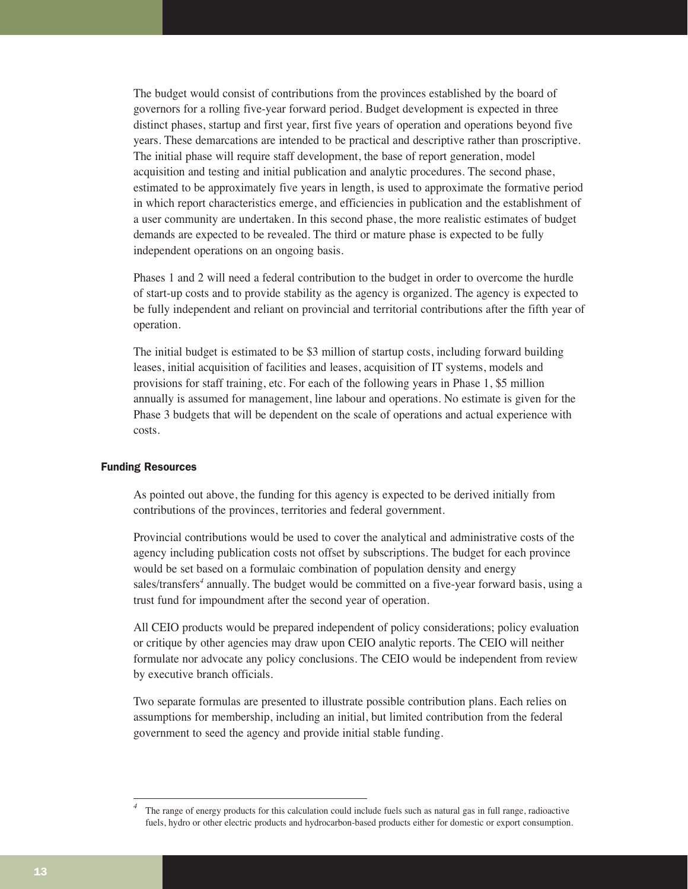The budget would consist of contributions from the provinces established by the board of governors for a rolling five-year forward period. Budget development is expected in three distinct phases, startup and first year, first five years of operation and operations beyond five years. These demarcations are intended to be practical and descriptive rather than proscriptive. The initial phase will require staff development, the base of report generation, model acquisition and testing and initial publication and analytic procedures. The second phase, estimated to be approximately five years in length, is used to approximate the formative period in which report characteristics emerge, and efficiencies in publication and the establishment of a user community are undertaken. In this second phase, the more realistic estimates of budget demands are expected to be revealed. The third or mature phase is expected to be fully independent operations on an ongoing basis.

Phases 1 and 2 will need a federal contribution to the budget in order to overcome the hurdle of start-up costs and to provide stability as the agency is organized. The agency is expected to be fully independent and reliant on provincial and territorial contributions after the fifth year of operation.

The initial budget is estimated to be \$3 million of startup costs, including forward building leases, initial acquisition of facilities and leases, acquisition of IT systems, models and provisions for staff training, etc. For each of the following years in Phase 1, \$5 million annually is assumed for management, line labour and operations. No estimate is given for the Phase 3 budgets that will be dependent on the scale of operations and actual experience with costs.

### Funding Resources

As pointed out above, the funding for this agency is expected to be derived initially from contributions of the provinces, territories and federal government.

Provincial contributions would be used to cover the analytical and administrative costs of the agency including publication costs not offset by subscriptions. The budget for each province would be set based on a formulaic combination of population density and energy sales/transfers*<sup>4</sup>* annually. The budget would be committed on a five-year forward basis, using a trust fund for impoundment after the second year of operation.

All CEIO products would be prepared independent of policy considerations; policy evaluation or critique by other agencies may draw upon CEIO analytic reports. The CEIO will neither formulate nor advocate any policy conclusions. The CEIO would be independent from review by executive branch officials.

Two separate formulas are presented to illustrate possible contribution plans. Each relies on assumptions for membership, including an initial, but limited contribution from the federal government to seed the agency and provide initial stable funding.

*<sup>4</sup>* The range of energy products for this calculation could include fuels such as natural gas in full range, radioactive fuels, hydro or other electric products and hydrocarbon-based products either for domestic or export consumption.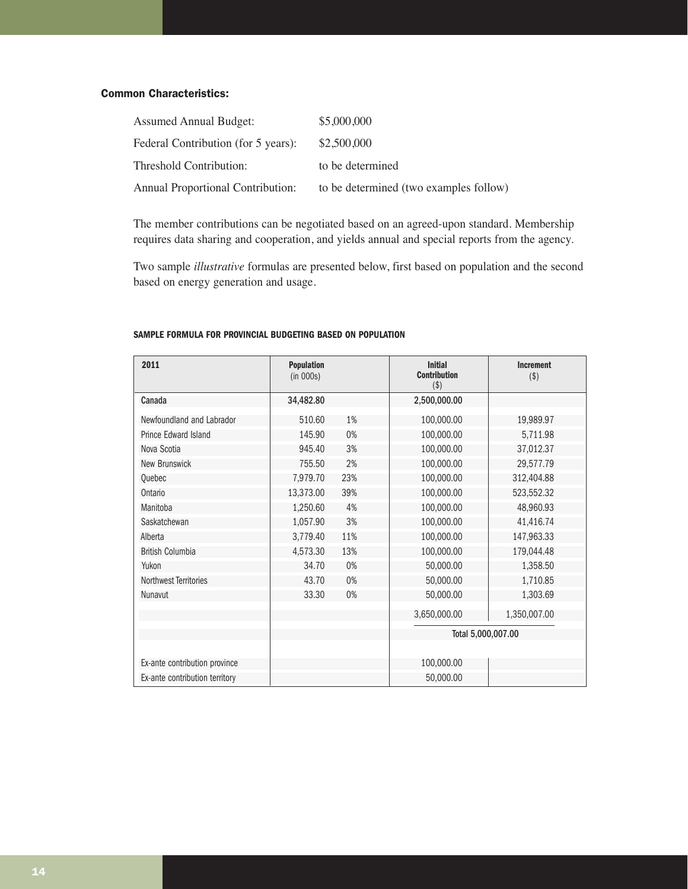# Common Characteristics:

| <b>Assumed Annual Budget:</b>            | \$5,000,000                            |
|------------------------------------------|----------------------------------------|
| Federal Contribution (for 5 years):      | \$2,500,000                            |
| Threshold Contribution:                  | to be determined                       |
| <b>Annual Proportional Contribution:</b> | to be determined (two examples follow) |

The member contributions can be negotiated based on an agreed-upon standard. Membership requires data sharing and cooperation, and yields annual and special reports from the agency.

Two sample *illustrative* formulas are presented below, first based on population and the second based on energy generation and usage.

| 2011                           | <b>Population</b><br>(in 000s) |     | <b>Initial</b><br><b>Contribution</b><br>( \$) | <b>Increment</b><br>$($ \$) |  |
|--------------------------------|--------------------------------|-----|------------------------------------------------|-----------------------------|--|
| Canada                         | 34,482.80                      |     | 2,500,000.00                                   |                             |  |
| Newfoundland and Labrador      | 510.60                         | 1%  | 100,000.00                                     | 19,989.97                   |  |
| Prince Edward Island           | 145.90                         | 0%  | 100,000.00                                     | 5,711.98                    |  |
| Nova Scotia                    | 945.40                         | 3%  | 100,000.00                                     | 37,012.37                   |  |
| New Brunswick                  | 755.50                         | 2%  | 100,000.00                                     | 29,577.79                   |  |
| Quebec                         | 7,979.70                       | 23% | 100,000.00                                     | 312,404.88                  |  |
| Ontario                        | 13,373.00                      | 39% | 100,000.00                                     | 523,552.32                  |  |
| Manitoba                       | 1,250.60                       | 4%  | 100,000.00                                     | 48,960.93                   |  |
| Saskatchewan                   | 1,057.90                       | 3%  | 100,000.00                                     | 41,416.74                   |  |
| Alberta                        | 3,779.40                       | 11% | 100,000.00                                     | 147,963.33                  |  |
| <b>British Columbia</b>        | 4,573.30                       | 13% | 100,000.00                                     | 179,044.48                  |  |
| Yukon                          | 34.70                          | 0%  | 50,000.00                                      | 1,358.50                    |  |
| Northwest Territories          | 43.70                          | 0%  | 50,000.00                                      | 1,710.85                    |  |
| Nunavut                        | 33.30                          | 0%  | 50,000.00                                      | 1,303.69                    |  |
|                                |                                |     | 3,650,000.00                                   | 1,350,007.00                |  |
|                                |                                |     | Total 5,000,007.00                             |                             |  |
|                                |                                |     |                                                |                             |  |
| Ex-ante contribution province  |                                |     | 100,000.00                                     |                             |  |
| Ex-ante contribution territory |                                |     | 50,000.00                                      |                             |  |

### **SAMPLE FORMULA FOR PROVINCIAL BUDGETING BASED ON POPULATION**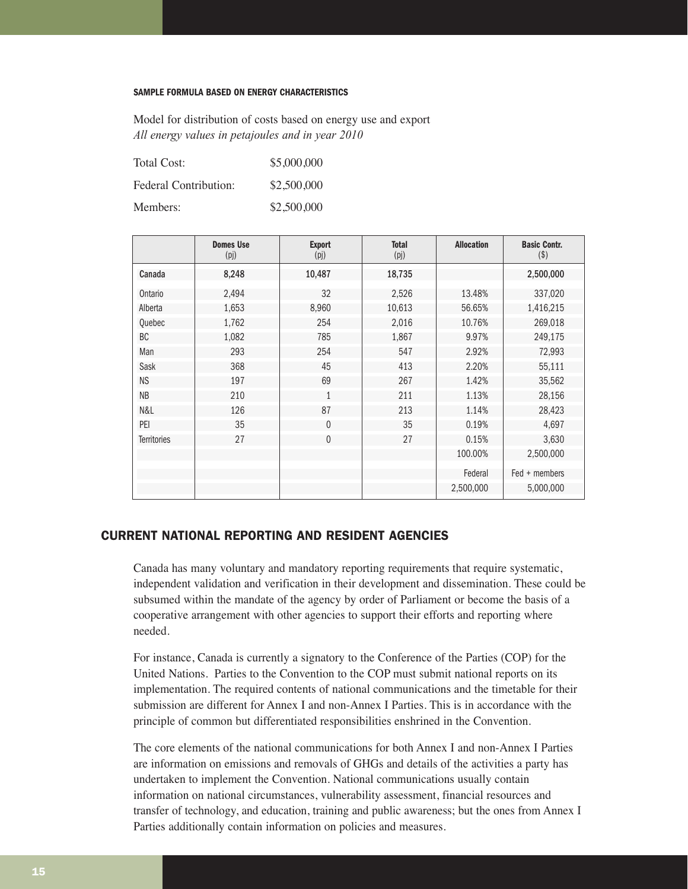#### **SAMPLE FORMULA BASED ON ENERGY CHARACTERISTICS**

Model for distribution of costs based on energy use and export *All energy values in petajoules and in year 2010*

| Total Cost:                  | \$5,000,000 |
|------------------------------|-------------|
| <b>Federal Contribution:</b> | \$2,500,000 |
| Members:                     | \$2,500,000 |

|                    | <b>Domes Use</b><br>(pj) | <b>Export</b><br>(pj) | <b>Total</b><br>(pj) | <b>Allocation</b> | <b>Basic Contr.</b><br>$($ \$) |
|--------------------|--------------------------|-----------------------|----------------------|-------------------|--------------------------------|
| Canada             | 8,248                    | 10,487                | 18,735               |                   | 2,500,000                      |
| Ontario            | 2,494                    | 32                    | 2,526                | 13.48%            | 337,020                        |
| Alberta            | 1,653                    | 8,960                 | 10,613               | 56.65%            | 1,416,215                      |
| Quebec             | 1,762                    | 254                   | 2,016                | 10.76%            | 269,018                        |
| <b>BC</b>          | 1,082                    | 785                   | 1,867                | 9.97%             | 249,175                        |
| Man                | 293                      | 254                   | 547                  | 2.92%             | 72,993                         |
| Sask               | 368                      | 45                    | 413                  | 2.20%             | 55,111                         |
| <b>NS</b>          | 197                      | 69                    | 267                  | 1.42%             | 35,562                         |
| <b>NB</b>          | 210                      | $\mathbf{1}$          | 211                  | 1.13%             | 28,156                         |
| N&L                | 126                      | 87                    | 213                  | 1.14%             | 28,423                         |
| PEI                | 35                       | $\mathbf{0}$          | 35                   | 0.19%             | 4,697                          |
| <b>Territories</b> | 27                       | $\mathbf{0}$          | 27                   | 0.15%             | 3,630                          |
|                    |                          |                       |                      | 100.00%           | 2,500,000                      |
|                    |                          |                       |                      | Federal           | Fed + members                  |
|                    |                          |                       |                      | 2,500,000         | 5,000,000                      |

# CURRENT NATIONAL REPORTING AND RESIDENT AGENCIES

Canada has many voluntary and mandatory reporting requirements that require systematic, independent validation and verification in their development and dissemination. These could be subsumed within the mandate of the agency by order of Parliament or become the basis of a cooperative arrangement with other agencies to support their efforts and reporting where needed.

For instance, Canada is currently a signatory to the Conference of the Parties (COP) for the United Nations. Parties to the Convention to the COP must submit national reports on its implementation. The required contents of national communications and the timetable for their submission are different for Annex I and non-Annex I Parties. This is in accordance with the principle of common but differentiated responsibilities enshrined in the Convention.

The core elements of the national communications for both Annex I and non-Annex I Parties are information on emissions and removals of GHGs and details of the activities a party has undertaken to implement the Convention. National communications usually contain information on national circumstances, vulnerability assessment, financial resources and transfer of technology, and education, training and public awareness; but the ones from Annex I Parties additionally contain information on policies and measures.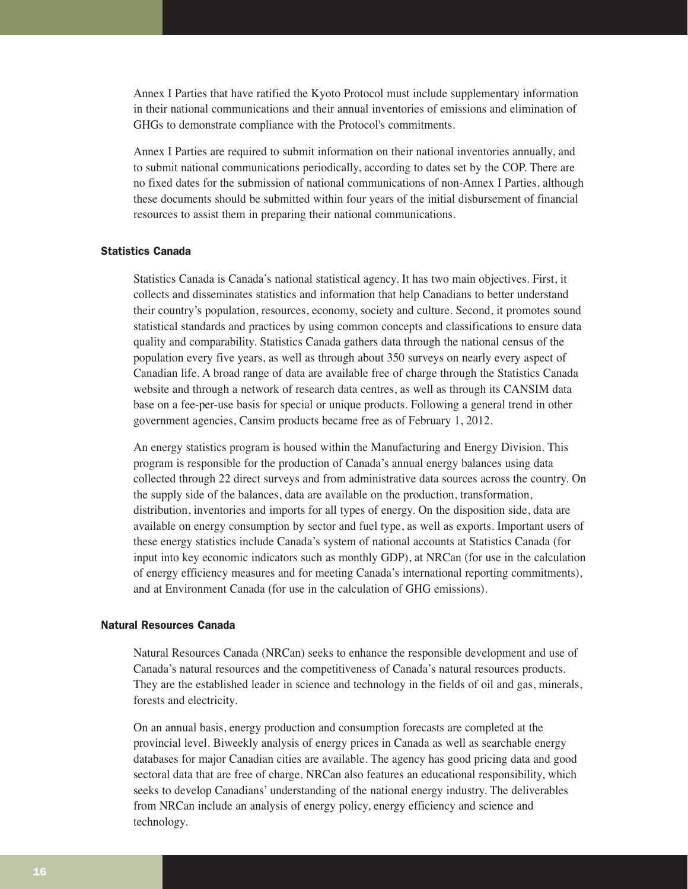Annex I Parties that have ratified the Kyoto Protocol must include supplementary information in their national communications and their annual inventories of emissions and elimination of GHGs to demonstrate compliance with the Protocol's commitments.

Annex I Parties are required to submit information on their national inventories annually, and to submit national communications periodically, according to dates set by the COP. There are no fixed dates for the submission of national communications of non-Annex I Parties, although these documents should be submitted within four years of the initial disbursement of financial resources to assist them in preparing their national communications.

#### Statistics Canada

Statistics Canada is Canada's national statistical agency. It has two main objectives. First, it collects and disseminates statistics and information that help Canadians to better understand their country's population, resources, economy, society and culture. Second, it promotes sound statistical standards and practices by using common concepts and classifications to ensure data quality and comparability. Statistics Canada gathers data through the national census of the population every five years, as well as through about 350 surveys on nearly every aspect of Canadian life. A broad range of data are available free of charge through the Statistics Canada website and through a network of research data centres, as well as through its CANSIM data base on a fee-per-use basis for special or unique products. Following a general trend in other government agencies, Cansim products became free as of February 1, 2012.

An energy statistics program is housed within the Manufacturing and Energy Division. This program is responsible for the production of Canada's annual energy balances using data collected through 22 direct surveys and from administrative data sources across the country. On the supply side of the balances, data are available on the production, transformation, distribution, inventories and imports for all types of energy. On the disposition side, data are available on energy consumption by sector and fuel type, as well as exports. Important users of these energy statistics include Canada's system of national accounts at Statistics Canada (for input into key economic indicators such as monthly GDP), at NRCan (for use in the calculation of energy efficiency measures and for meeting Canada's international reporting commitments), and at Environment Canada (for use in the calculation of GHG emissions).

#### Natural Resources Canada

Natural Resources Canada (NRCan) seeks to enhance the responsible development and use of Canada's natural resources and the competitiveness of Canada's natural resources products. They are the established leader in science and technology in the fields of oil and gas, minerals, forests and electricity.

On an annual basis, energy production and consumption forecasts are completed at the provincial level. Biweekly analysis of energy prices in Canada as well as searchable energy databases for major Canadian cities are available. The agency has good pricing data and good sectoral data that are free of charge. NRCan also features an educational responsibility, which seeks to develop Canadians' understanding of the national energy industry. The deliverables from NRCan include an analysis of energy policy, energy efficiency and science and technology.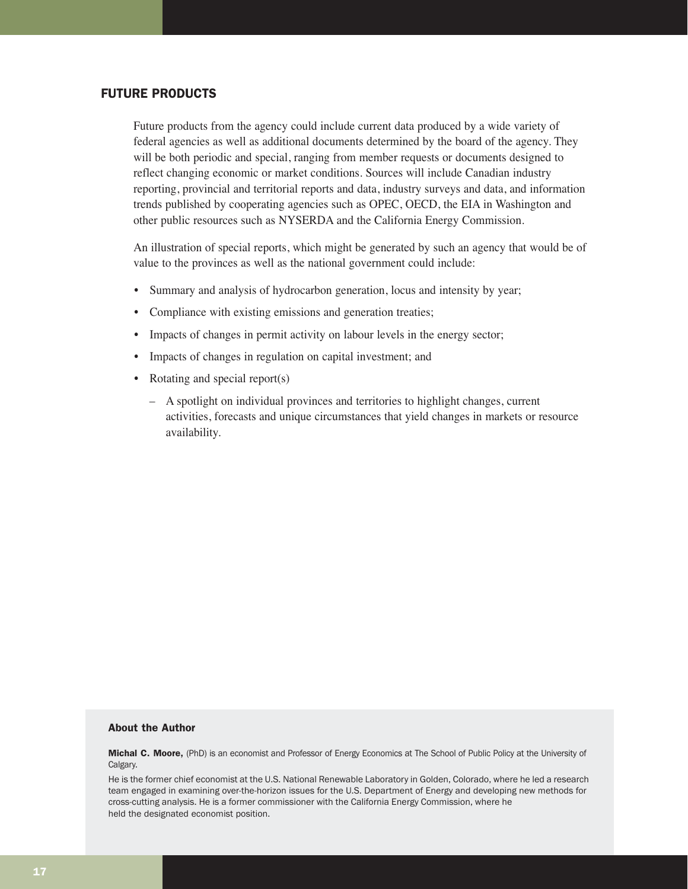# FUTURE PRODUCTS

Future products from the agency could include current data produced by a wide variety of federal agencies as well as additional documents determined by the board of the agency. They will be both periodic and special, ranging from member requests or documents designed to reflect changing economic or market conditions. Sources will include Canadian industry reporting, provincial and territorial reports and data, industry surveys and data, and information trends published by cooperating agencies such as OPEC, OECD, the EIA in Washington and other public resources such as NYSERDA and the California Energy Commission.

An illustration of special reports, which might be generated by such an agency that would be of value to the provinces as well as the national government could include:

- Summary and analysis of hydrocarbon generation, locus and intensity by year;
- Compliance with existing emissions and generation treaties;
- Impacts of changes in permit activity on labour levels in the energy sector;
- Impacts of changes in regulation on capital investment; and
- Rotating and special report(s)
	- A spotlight on individual provinces and territories to highlight changes, current activities, forecasts and unique circumstances that yield changes in markets or resource availability.

#### About the Author

Michal C. Moore, (PhD) is an economist and Professor of Energy Economics at The School of Public Policy at the University of Calgary.

He is the former chief economist at the U.S. National Renewable Laboratory in Golden, Colorado, where he led a research team engaged in examining over-the-horizon issues for the U.S. Department of Energy and developing new methods for cross-cutting analysis. He is a former commissioner with the California Energy Commission, where he held the designated economist position.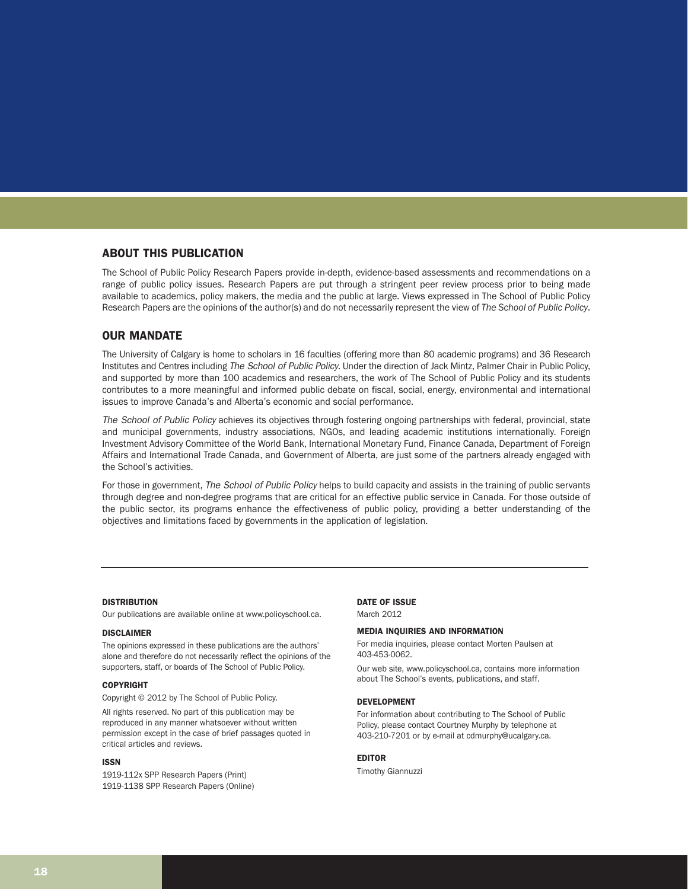#### ABOUT THIS PUBLICATION

The School of Public Policy Research Papers provide in-depth, evidence-based assessments and recommendations on a range of public policy issues. Research Papers are put through a stringent peer review process prior to being made available to academics, policy makers, the media and the public at large. Views expressed in The School of Public Policy Research Papers are the opinions of the author(s) and do not necessarily represent the view of *The School of Public Policy*.

#### OUR MANDATE

The University of Calgary is home to scholars in 16 faculties (offering more than 80 academic programs) and 36 Research Institutes and Centres including The School of Public Policy. Under the direction of Jack Mintz, Palmer Chair in Public Policy, and supported by more than 100 academics and researchers, the work of The School of Public Policy and its students contributes to a more meaningful and informed public debate on fiscal, social, energy, environmental and international issues to improve Canada's and Alberta's economic and social performance.

The School of Public Policy achieves its objectives through fostering ongoing partnerships with federal, provincial, state and municipal governments, industry associations, NGOs, and leading academic institutions internationally. Foreign Investment Advisory Committee of the World Bank, International Monetary Fund, Finance Canada, Department of Foreign Affairs and International Trade Canada, and Government of Alberta, are just some of the partners already engaged with the School's activities.

For those in government, The School of Public Policy helps to build capacity and assists in the training of public servants through degree and non-degree programs that are critical for an effective public service in Canada. For those outside of the public sector, its programs enhance the effectiveness of public policy, providing a better understanding of the objectives and limitations faced by governments in the application of legislation.

#### **DISTRIBUTION**

Our publications are available online at www.policyschool.ca.

#### DISCLAIMER

The opinions expressed in these publications are the authors' alone and therefore do not necessarily reflect the opinions of the supporters, staff, or boards of The School of Public Policy.

#### COPYRIGHT

Copyright © 2012 by The School of Public Policy.

All rights reserved. No part of this publication may be reproduced in any manner whatsoever without written permission except in the case of brief passages quoted in critical articles and reviews.

#### ISSN

1919-112x SPP Research Papers (Print) 1919-1138 SPP Research Papers (Online)

#### DATE OF ISSUE

March 2012

#### MEDIA INQUIRIES AND INFORMATION

For media inquiries, please contact Morten Paulsen at 403-453-0062.

Our web site, www.policyschool.ca, contains more information about The School's events, publications, and staff.

#### DEVELOPMENT

For information about contributing to The School of Public Policy, please contact Courtney Murphy by telephone at 403-210-7201 or by e-mail at cdmurphy@ucalgary.ca.

#### EDITOR

Timothy Giannuzzi